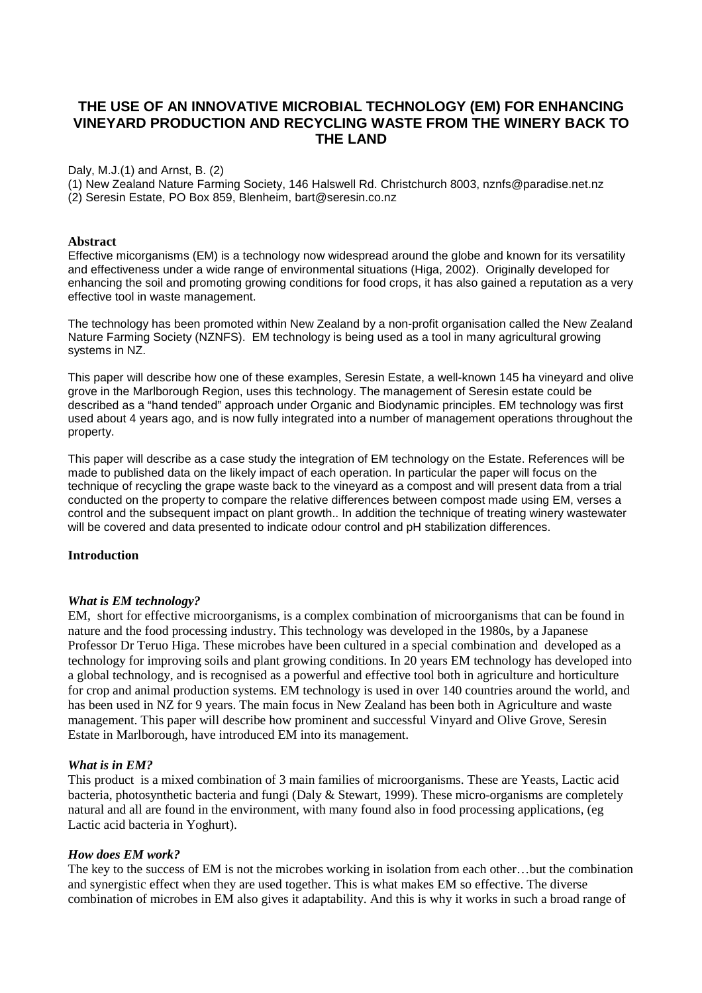# **THE USE OF AN INNOVATIVE MICROBIAL TECHNOLOGY (EM) FOR ENHANCING VINEYARD PRODUCTION AND RECYCLING WASTE FROM THE WINERY BACK TO THE LAND**

#### Daly, M.J.(1) and Arnst, B. (2)

(1) New Zealand Nature Farming Society, 146 Halswell Rd. Christchurch 8003, nznfs@paradise.net.nz (2) Seresin Estate, PO Box 859, Blenheim, bart@seresin.co.nz

#### **Abstract**

Effective micorganisms (EM) is a technology now widespread around the globe and known for its versatility and effectiveness under a wide range of environmental situations (Higa, 2002). Originally developed for enhancing the soil and promoting growing conditions for food crops, it has also gained a reputation as a very effective tool in waste management.

The technology has been promoted within New Zealand by a non-profit organisation called the New Zealand Nature Farming Society (NZNFS). EM technology is being used as a tool in many agricultural growing systems in NZ.

This paper will describe how one of these examples, Seresin Estate, a well-known 145 ha vineyard and olive grove in the Marlborough Region, uses this technology. The management of Seresin estate could be described as a "hand tended" approach under Organic and Biodynamic principles. EM technology was first used about 4 years ago, and is now fully integrated into a number of management operations throughout the property.

This paper will describe as a case study the integration of EM technology on the Estate. References will be made to published data on the likely impact of each operation. In particular the paper will focus on the technique of recycling the grape waste back to the vineyard as a compost and will present data from a trial conducted on the property to compare the relative differences between compost made using EM, verses a control and the subsequent impact on plant growth.. In addition the technique of treating winery wastewater will be covered and data presented to indicate odour control and pH stabilization differences.

#### **Introduction**

#### *What is EM technology?*

EM, short for effective microorganisms, is a complex combination of microorganisms that can be found in nature and the food processing industry. This technology was developed in the 1980s, by a Japanese Professor Dr Teruo Higa. These microbes have been cultured in a special combination and developed as a technology for improving soils and plant growing conditions. In 20 years EM technology has developed into a global technology, and is recognised as a powerful and effective tool both in agriculture and horticulture for crop and animal production systems. EM technology is used in over 140 countries around the world, and has been used in NZ for 9 years. The main focus in New Zealand has been both in Agriculture and waste management. This paper will describe how prominent and successful Vinyard and Olive Grove, Seresin Estate in Marlborough, have introduced EM into its management.

#### *What is in EM?*

This product is a mixed combination of 3 main families of microorganisms. These are Yeasts, Lactic acid bacteria, photosynthetic bacteria and fungi (Daly & Stewart, 1999). These micro-organisms are completely natural and all are found in the environment, with many found also in food processing applications, (eg Lactic acid bacteria in Yoghurt).

#### *How does EM work?*

The key to the success of EM is not the microbes working in isolation from each other…but the combination and synergistic effect when they are used together. This is what makes EM so effective. The diverse combination of microbes in EM also gives it adaptability. And this is why it works in such a broad range of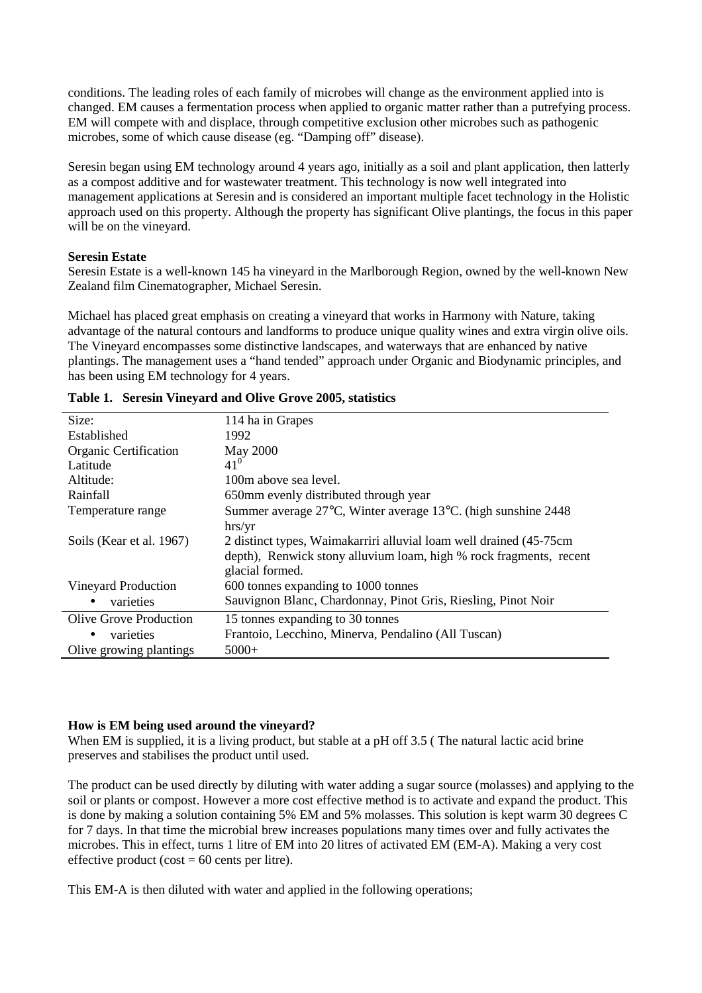conditions. The leading roles of each family of microbes will change as the environment applied into is changed. EM causes a fermentation process when applied to organic matter rather than a putrefying process. EM will compete with and displace, through competitive exclusion other microbes such as pathogenic microbes, some of which cause disease (eg. "Damping off" disease).

Seresin began using EM technology around 4 years ago, initially as a soil and plant application, then latterly as a compost additive and for wastewater treatment. This technology is now well integrated into management applications at Seresin and is considered an important multiple facet technology in the Holistic approach used on this property. Although the property has significant Olive plantings, the focus in this paper will be on the vineyard.

### **Seresin Estate**

Seresin Estate is a well-known 145 ha vineyard in the Marlborough Region, owned by the well-known New Zealand film Cinematographer, Michael Seresin.

Michael has placed great emphasis on creating a vineyard that works in Harmony with Nature, taking advantage of the natural contours and landforms to produce unique quality wines and extra virgin olive oils. The Vineyard encompasses some distinctive landscapes, and waterways that are enhanced by native plantings. The management uses a "hand tended" approach under Organic and Biodynamic principles, and has been using EM technology for 4 years.

| Size:                    | 114 ha in Grapes                                                    |  |
|--------------------------|---------------------------------------------------------------------|--|
| Established              | 1992                                                                |  |
| Organic Certification    | <b>May 2000</b>                                                     |  |
| Latitude                 | $41^{0}$                                                            |  |
| Altitude:                | 100m above sea level.                                               |  |
| Rainfall                 | 650mm evenly distributed through year                               |  |
| Temperature range        | Summer average 27°C, Winter average 13°C. (high sunshine 2448)      |  |
|                          | hrs/yr                                                              |  |
| Soils (Kear et al. 1967) | 2 distinct types, Waimakarriri alluvial loam well drained (45-75cm) |  |
|                          | depth), Renwick stony alluvium loam, high % rock fragments, recent  |  |
|                          | glacial formed.                                                     |  |
| Vineyard Production      | 600 tonnes expanding to 1000 tonnes                                 |  |
| varieties<br>$\bullet$   | Sauvignon Blanc, Chardonnay, Pinot Gris, Riesling, Pinot Noir       |  |
| Olive Grove Production   | 15 tonnes expanding to 30 tonnes                                    |  |
| varieties<br>$\bullet$   | Frantoio, Lecchino, Minerva, Pendalino (All Tuscan)                 |  |
| Olive growing plantings  | $5000+$                                                             |  |

| Table 1. Seresin Vineyard and Olive Grove 2005, statistics |  |  |  |  |  |  |
|------------------------------------------------------------|--|--|--|--|--|--|
|------------------------------------------------------------|--|--|--|--|--|--|

#### **How is EM being used around the vineyard?**

When EM is supplied, it is a living product, but stable at a pH off 3.5 (The natural lactic acid brine preserves and stabilises the product until used.

The product can be used directly by diluting with water adding a sugar source (molasses) and applying to the soil or plants or compost. However a more cost effective method is to activate and expand the product. This is done by making a solution containing 5% EM and 5% molasses. This solution is kept warm 30 degrees C for 7 days. In that time the microbial brew increases populations many times over and fully activates the microbes. This in effect, turns 1 litre of EM into 20 litres of activated EM (EM-A). Making a very cost effective product (cost  $= 60$  cents per litre).

This EM-A is then diluted with water and applied in the following operations;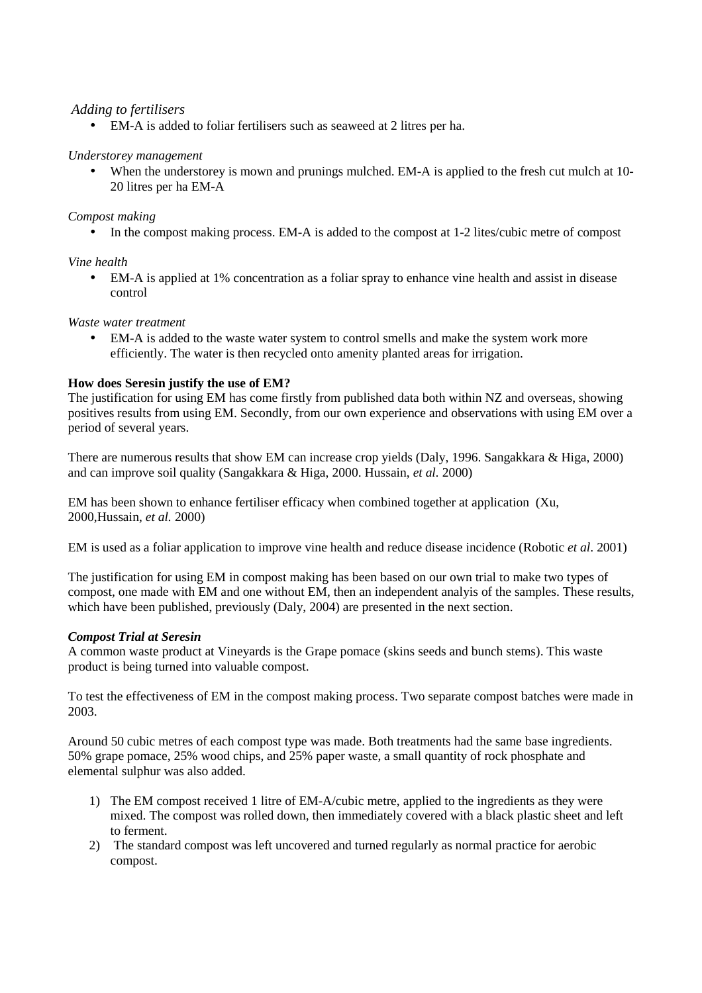## *Adding to fertilisers*

• EM-A is added to foliar fertilisers such as seaweed at 2 litres per ha.

## *Understorey management*

• When the understorey is mown and prunings mulched. EM-A is applied to the fresh cut mulch at 10-20 litres per ha EM-A

## *Compost making*

• In the compost making process. EM-A is added to the compost at 1-2 lites/cubic metre of compost

# *Vine health*

• EM-A is applied at 1% concentration as a foliar spray to enhance vine health and assist in disease control

## *Waste water treatment*

• EM-A is added to the waste water system to control smells and make the system work more efficiently. The water is then recycled onto amenity planted areas for irrigation.

# **How does Seresin justify the use of EM?**

The justification for using EM has come firstly from published data both within NZ and overseas, showing positives results from using EM. Secondly, from our own experience and observations with using EM over a period of several years.

There are numerous results that show EM can increase crop yields (Daly, 1996. Sangakkara & Higa, 2000) and can improve soil quality (Sangakkara & Higa, 2000. Hussain, *et al.* 2000)

EM has been shown to enhance fertiliser efficacy when combined together at application (Xu, 2000,Hussain, *et al.* 2000)

EM is used as a foliar application to improve vine health and reduce disease incidence (Robotic *et al*. 2001)

The justification for using EM in compost making has been based on our own trial to make two types of compost, one made with EM and one without EM, then an independent analyis of the samples. These results, which have been published, previously (Daly, 2004) are presented in the next section.

## *Compost Trial at Seresin*

A common waste product at Vineyards is the Grape pomace (skins seeds and bunch stems). This waste product is being turned into valuable compost.

To test the effectiveness of EM in the compost making process. Two separate compost batches were made in 2003.

Around 50 cubic metres of each compost type was made. Both treatments had the same base ingredients. 50% grape pomace, 25% wood chips, and 25% paper waste, a small quantity of rock phosphate and elemental sulphur was also added.

- 1) The EM compost received 1 litre of EM-A/cubic metre, applied to the ingredients as they were mixed. The compost was rolled down, then immediately covered with a black plastic sheet and left to ferment.
- 2) The standard compost was left uncovered and turned regularly as normal practice for aerobic compost.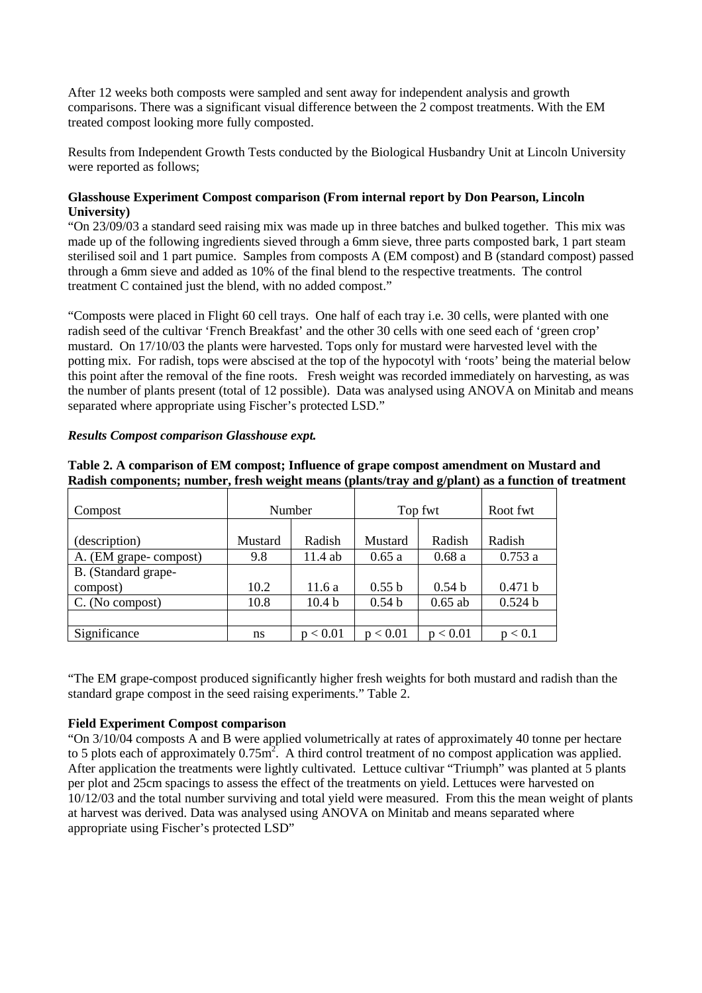After 12 weeks both composts were sampled and sent away for independent analysis and growth comparisons. There was a significant visual difference between the 2 compost treatments. With the EM treated compost looking more fully composted.

Results from Independent Growth Tests conducted by the Biological Husbandry Unit at Lincoln University were reported as follows;

### **Glasshouse Experiment Compost comparison (From internal report by Don Pearson, Lincoln University)**

"On 23/09/03 a standard seed raising mix was made up in three batches and bulked together. This mix was made up of the following ingredients sieved through a 6mm sieve, three parts composted bark, 1 part steam sterilised soil and 1 part pumice. Samples from composts A (EM compost) and B (standard compost) passed through a 6mm sieve and added as 10% of the final blend to the respective treatments. The control treatment C contained just the blend, with no added compost."

"Composts were placed in Flight 60 cell trays. One half of each tray i.e. 30 cells, were planted with one radish seed of the cultivar 'French Breakfast' and the other 30 cells with one seed each of 'green crop' mustard. On 17/10/03 the plants were harvested. Tops only for mustard were harvested level with the potting mix. For radish, tops were abscised at the top of the hypocotyl with 'roots' being the material below this point after the removal of the fine roots. Fresh weight was recorded immediately on harvesting, as was the number of plants present (total of 12 possible). Data was analysed using ANOVA on Minitab and means separated where appropriate using Fischer's protected LSD."

| Compost                         | <b>Number</b> |                   | Top fwt           |                   | Root fwt |
|---------------------------------|---------------|-------------------|-------------------|-------------------|----------|
| (description)                   | Mustard       | Radish            | Mustard           | Radish            | Radish   |
| A. (EM grape-compost)           | 9.8           | 11.4 ab           | 0.65a             | 0.68a             | 0.753a   |
| B. (Standard grape-<br>compost) | 10.2          | 11.6 a            | 0.55 b            | 0.54 <sub>b</sub> | 0.471 b  |
| C. (No compost)                 | 10.8          | 10.4 <sub>b</sub> | 0.54 <sub>b</sub> | $0.65$ ab         | 0.524 b  |
|                                 |               |                   |                   |                   |          |
| Significance                    | ns            | p < 0.01          | p < 0.01          | p < 0.01          | p < 0.1  |

### *Results Compost comparison Glasshouse expt.*

**Table 2. A comparison of EM compost; Influence of grape compost amendment on Mustard and Radish components; number, fresh weight means (plants/tray and g/plant) as a function of treatment**

"The EM grape-compost produced significantly higher fresh weights for both mustard and radish than the standard grape compost in the seed raising experiments." Table 2.

#### **Field Experiment Compost comparison**

"On 3/10/04 composts A and B were applied volumetrically at rates of approximately 40 tonne per hectare to 5 plots each of approximately  $0.75$ m<sup>2</sup>. A third control treatment of no compost application was applied. After application the treatments were lightly cultivated. Lettuce cultivar "Triumph" was planted at 5 plants per plot and 25cm spacings to assess the effect of the treatments on yield. Lettuces were harvested on 10/12/03 and the total number surviving and total yield were measured. From this the mean weight of plants at harvest was derived. Data was analysed using ANOVA on Minitab and means separated where appropriate using Fischer's protected LSD"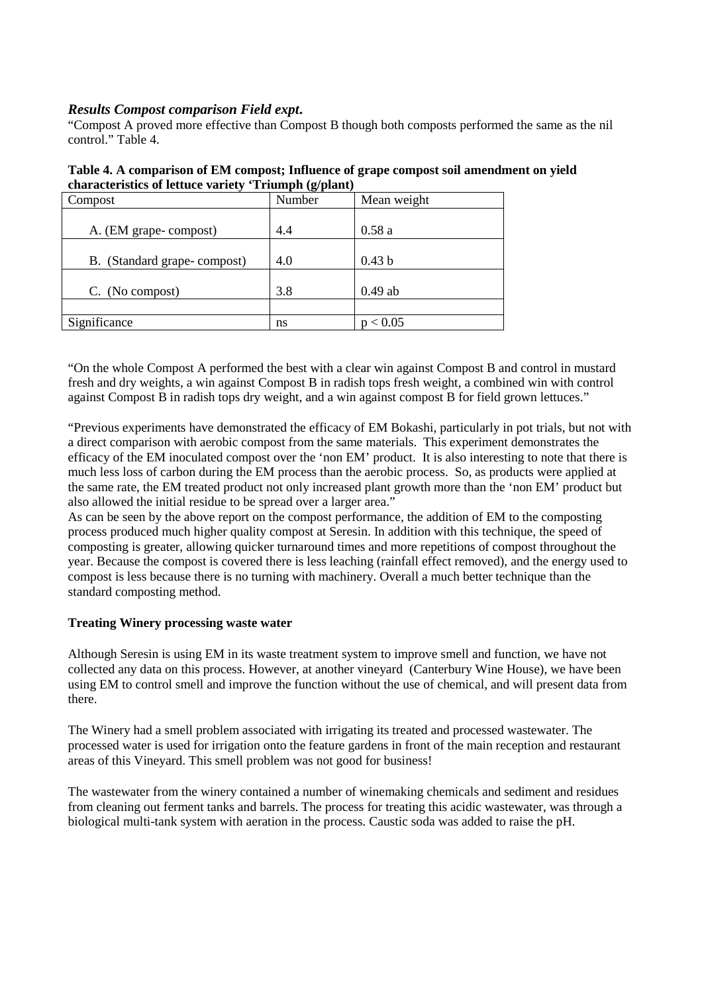## *Results Compost comparison Field expt***.**

"Compost A proved more effective than Compost B though both composts performed the same as the nil control<sup>"</sup> Table 4.

| Table 4. A comparison of EM compost; Influence of grape compost soil amendment on yield |
|-----------------------------------------------------------------------------------------|
| characteristics of lettuce variety 'Triumph (g/plant)                                   |

| Compost                     | Number | Mean weight |
|-----------------------------|--------|-------------|
|                             |        |             |
| A. (EM grape-compost)       | 4.4    | 0.58a       |
|                             |        |             |
| B. (Standard grape-compost) | 4.0    | 0.43 b      |
|                             |        |             |
| C. (No compost)             | 3.8    | $0.49$ ab   |
|                             |        |             |
| Significance                | ns     | p < 0.05    |

"On the whole Compost A performed the best with a clear win against Compost B and control in mustard fresh and dry weights, a win against Compost B in radish tops fresh weight, a combined win with control against Compost B in radish tops dry weight, and a win against compost B for field grown lettuces."

"Previous experiments have demonstrated the efficacy of EM Bokashi, particularly in pot trials, but not with a direct comparison with aerobic compost from the same materials. This experiment demonstrates the efficacy of the EM inoculated compost over the 'non EM' product. It is also interesting to note that there is much less loss of carbon during the EM process than the aerobic process. So, as products were applied at the same rate, the EM treated product not only increased plant growth more than the 'non EM' product but also allowed the initial residue to be spread over a larger area."

As can be seen by the above report on the compost performance, the addition of EM to the composting process produced much higher quality compost at Seresin. In addition with this technique, the speed of composting is greater, allowing quicker turnaround times and more repetitions of compost throughout the year. Because the compost is covered there is less leaching (rainfall effect removed), and the energy used to compost is less because there is no turning with machinery. Overall a much better technique than the standard composting method.

## **Treating Winery processing waste water**

Although Seresin is using EM in its waste treatment system to improve smell and function, we have not collected any data on this process. However, at another vineyard (Canterbury Wine House), we have been using EM to control smell and improve the function without the use of chemical, and will present data from there.

The Winery had a smell problem associated with irrigating its treated and processed wastewater. The processed water is used for irrigation onto the feature gardens in front of the main reception and restaurant areas of this Vineyard. This smell problem was not good for business!

The wastewater from the winery contained a number of winemaking chemicals and sediment and residues from cleaning out ferment tanks and barrels. The process for treating this acidic wastewater, was through a biological multi-tank system with aeration in the process. Caustic soda was added to raise the pH.